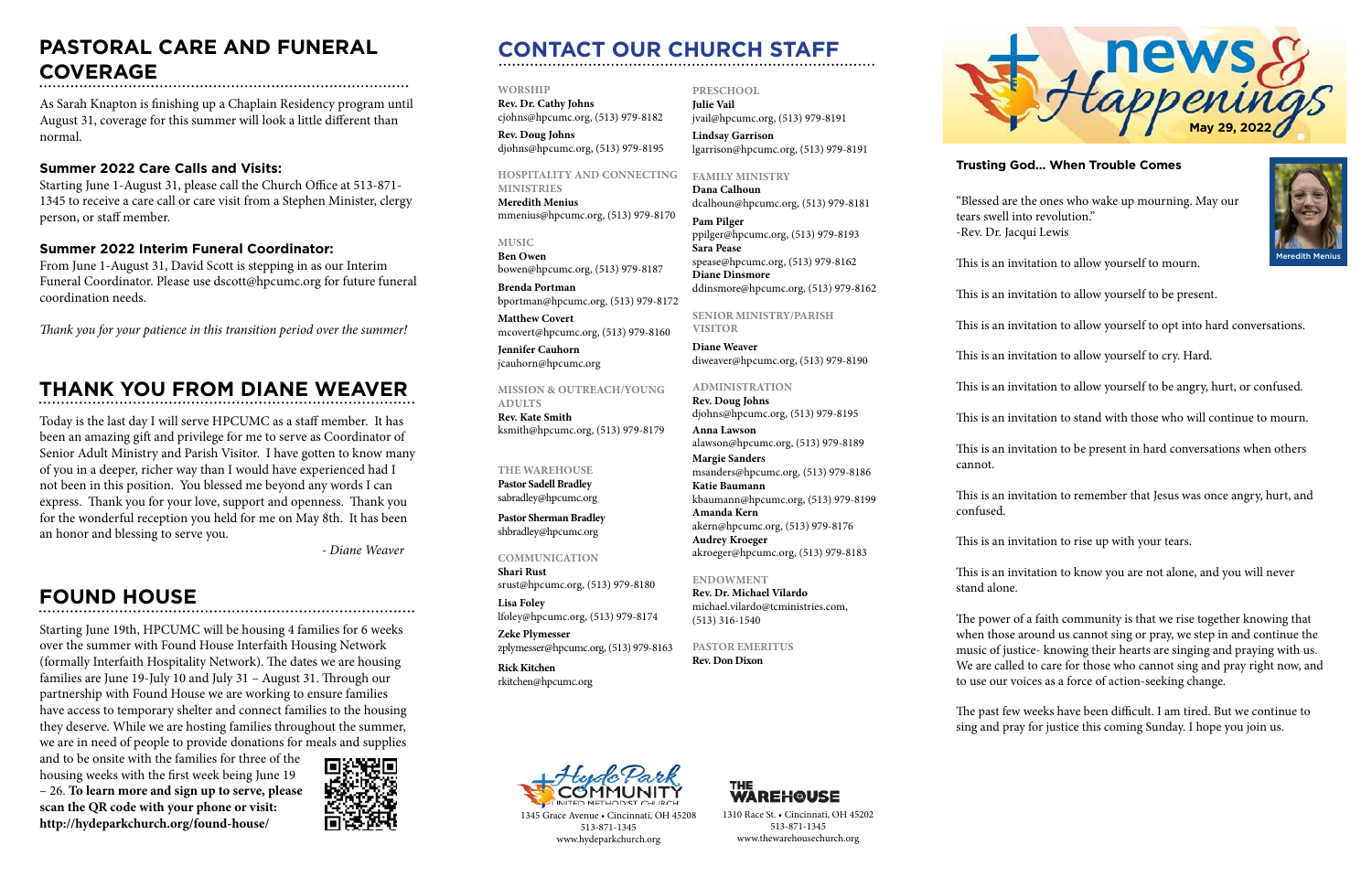## **CONTACT OUR CHURCH STAFF**

**WORSHIP**

**Rev. Dr. Cathy Johns**  cjohns@hpcumc.org, (513) 979-8182 **Rev. Doug Johns**

djohns@hpcumc.org, (513) 979-8195

#### **HOSPITALITY AND CONNECTING**

**MINISTRIES Meredith Menius** mmenius@hpcumc.org, (513) 979-8170

**MUSIC Ben Owen** bowen@hpcumc.org, (513) 979-8187

**Brenda Portman** bportman@hpcumc.org, (513) 979-8172

**Matthew Covert**  mcovert@hpcumc.org, (513) 979-8160

**Jennifer Cauhorn** jcauhorn@hpcumc.org

#### **MISSION & OUTREACH/YOUNG ADULTS**

**Rev. Kate Smith** ksmith@hpcumc.org, (513) 979-8179

#### **THE WAREHOUSE**

**Pastor Sadell Bradley** sabradley@hpcumc.org

**Pastor Sherman Bradley** shbradley@hpcumc.org

#### **COMMUNICATION**

**Shari Rust**  srust@hpcumc.org, (513) 979-8180 **Lisa Foley** 

lfoley@hpcumc.org, (513) 979-8174 **Zeke Plymesser** zplymesser@hpcumc.org, (513) 979-8163

**Rick Kitchen** rkitchen@hpcumc.org



**Julie Vail** jvail@hpcumc.org, (513) 979-8191

**Lindsay Garrison** lgarrison@hpcumc.org, (513) 979-8191

#### **FAMILY MINISTRY**

**Dana Calhoun** dcalhoun@hpcumc.org, (513) 979-8181

**Pam Pilger** ppilger@hpcumc.org, (513) 979-8193 **Sara Pease** spease@hpcumc.org, (513) 979-8162 **Diane Dinsmore** ddinsmore@hpcumc.org, (513) 979-8162

**SENIOR MINISTRY/PARISH VISITOR**

**Diane Weaver** diweaver@hpcumc.org, (513) 979-8190

#### **ADMINISTRATION**

**Rev. Doug Johns** djohns@hpcumc.org, (513) 979-8195 **Anna Lawson** alawson@hpcumc.org, (513) 979-8189 **Margie Sanders** msanders@hpcumc.org, (513) 979-8186 **Katie Baumann** kbaumann@hpcumc.org, (513) 979-8199 **Amanda Kern** akern@hpcumc.org, (513) 979-8176

**Audrey Kroeger**

akroeger@hpcumc.org, (513) 979-8183

#### **ENDOWMENT**

**Rev. Dr. Michael Vilardo** michael.vilardo@tcministries.com, (513) 316-1540

#### **PASTOR EMERITUS Rev. Don Dixon**



1345 Grace Avenue • Cincinnati, OH 45208 513-871-1345 www.hydeparkchurch.org



1310 Race St. • Cincinnati, OH 45202 513-871-1345 www.thewarehousechurch.org

**Trusting God… When Trouble Comes**

"Blessed are the ones who wake up mourning. May our tears swell into revolution." -Rev. Dr. Jacqui Lewis

cannot.

confused.

- This is an invitation to allow yourself to mourn.
- This is an invitation to allow yourself to be present.
- This is an invitation to allow yourself to opt into hard conversations.
- This is an invitation to allow yourself to cry. Hard.
- This is an invitation to allow yourself to be angry, hurt, or confused.
- This is an invitation to stand with those who will continue to mourn.
- This is an invitation to be present in hard conversations when others
- This is an invitation to remember that Jesus was once angry, hurt, and
- This is an invitation to rise up with your tears.
- This is an invitation to know you are not alone, and you will never
- The power of a faith community is that we rise together knowing that when those around us cannot sing or pray, we step in and continue the music of justice- knowing their hearts are singing and praying with us. We are called to care for those who cannot sing and pray right now, and to use our voices as a force of action-seeking change.
- The past few weeks have been difficult. I am tired. But we continue to sing and pray for justice this coming Sunday. I hope you join us.

stand alone.





Meredith Menius

## **THANK YOU FROM DIANE WEAVER**

# **FOUND HOUSE**

#### **PASTORAL CARE AND FUNERAL COVERAGE**

As Sarah Knapton is finishing up a Chaplain Residency program until August 31, coverage for this summer will look a little different than normal.

#### **Summer 2022 Care Calls and Visits:**

Starting June 1-August 31, please call the Church Office at 513-871- 1345 to receive a care call or care visit from a Stephen Minister, clergy person, or staff member.

#### **Summer 2022 Interim Funeral Coordinator:**

From June 1-August 31, David Scott is stepping in as our Interim Funeral Coordinator. Please use dscott@hpcumc.org for future funeral coordination needs.

*Thank you for your patience in this transition period over the summer!*

Today is the last day I will serve HPCUMC as a staff member. It has been an amazing gift and privilege for me to serve as Coordinator of Senior Adult Ministry and Parish Visitor. I have gotten to know many of you in a deeper, richer way than I would have experienced had I not been in this position. You blessed me beyond any words I can express. Thank you for your love, support and openness. Thank you for the wonderful reception you held for me on May 8th. It has been an honor and blessing to serve you.

*- Diane Weaver*

Starting June 19th, HPCUMC will be housing 4 families for 6 weeks over the summer with Found House Interfaith Housing Network (formally Interfaith Hospitality Network). The dates we are housing families are June 19-July 10 and July 31 – August 31. Through our partnership with Found House we are working to ensure families have access to temporary shelter and connect families to the housing they deserve. While we are hosting families throughout the summer, we are in need of people to provide donations for meals and supplies

and to be onsite with the families for three of the housing weeks with the first week being June 19 – 26. **To learn more and sign up to serve, please scan the QR code with your phone or visit: http://hydeparkchurch.org/found-house/**